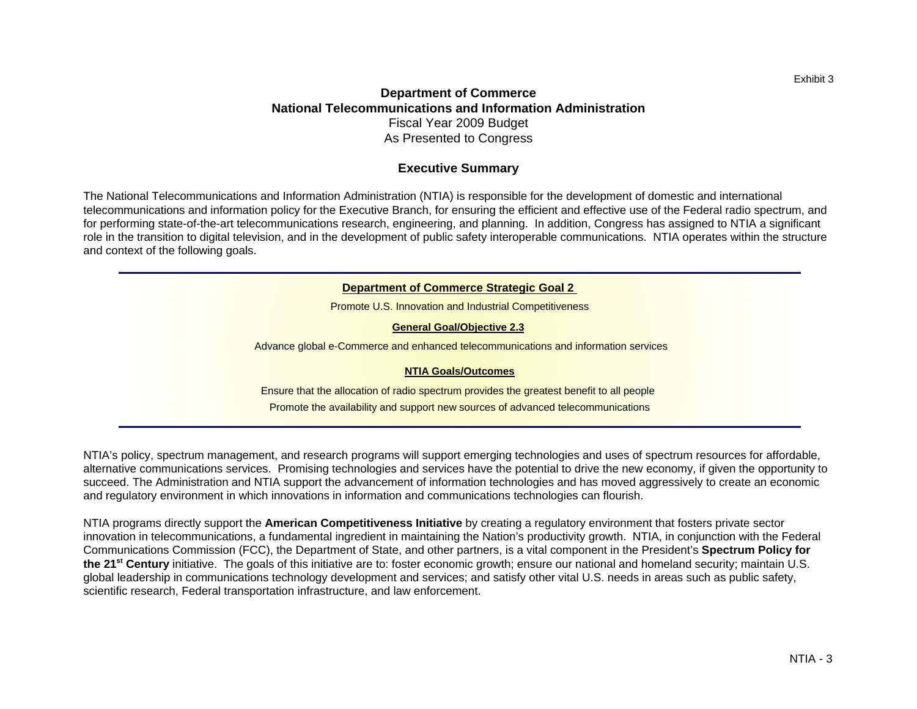# **Department of Commerce National Telecommunications and Information Administration**Fiscal Year 2009 Budget As Presented to Congress

### **Executive Summary**

The National Telecommunications and Information Administration (NTIA) is responsible for the development of domestic and international telecommunications and information policy for the Executive Branch, for ensuring the efficient and effective use of the Federal radio spectrum, and for performing state-of-the-art telecommunications research, engineering, and planning. In addition, Congress has assigned to NTIA a significant role in the transition to digital television, and in the development of public safety interoperable communications. NTIA operates within the structure and context of the following goals.

#### **Department of Commerce Strategic Goal 2**

Promote U.S. Innovation and Industrial Competitiveness

#### **General Goal/Objective 2.3**

Advance global e-Commerce and enhanced telecommunications and information services

#### **NTIA Goals/Outcomes**

Ensure that the allocation of radio spectrum provides the greatest benefit to all people Promote the availability and support new sources of advanced telecommunications

NTIA's policy, spectrum management, and research programs will support emerging technologies and uses of spectrum resources for affordable, alternative communications services. Promising technologies and services have the potential to drive the new economy, if given the opportunity to succeed. The Administration and NTIA support the advancement of information technologies and has moved aggressively to create an economic and regulatory environment in which innovations in information and communications technologies can flourish.

NTIA programs directly support the **American Competitiveness Initiative** by creating a regulatory environment that fosters private sector innovation in telecommunications, a fundamental ingredient in maintaining the Nation's productivity growth. NTIA, in conjunction with the Federal Communications Commission (FCC), the Department of State, and other partners, is a vital component in the President's **Spectrum Policy for the 21st Century** initiative. The goals of this initiative are to: foster economic growth; ensure our national and homeland security; maintain U.S. global leadership in communications technology development and services; and satisfy other vital U.S. needs in areas such as public safety, scientific research, Federal transportation infrastructure, and law enforcement.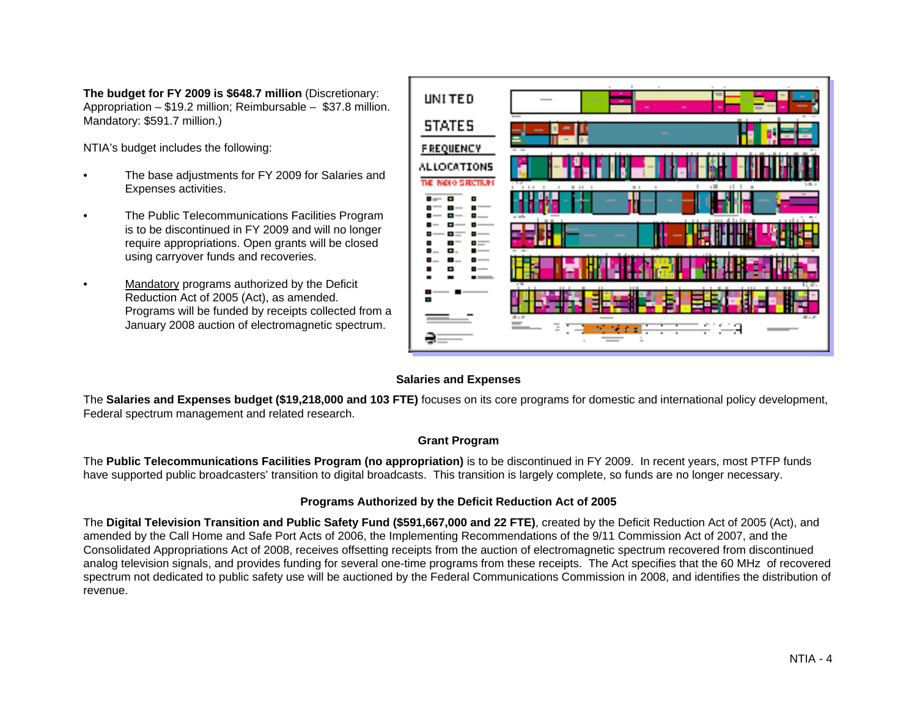**The budget for FY 2009 is \$648.7 million** (Discretionary: Appropriation – \$19.2 million; Reimbursable – \$37.8 million. Mandatory: \$591.7 million.)

NTIA's budget includes the following:

- • The base adjustments for FY 2009 for Salaries and Expenses activities.
- • The Public Telecommunications Facilities Program is to be discontinued in FY 2009 and will no longer require appropriations. Open grants will be closed using carryover funds and recoveries.
- • Mandatory programs authorized by the Deficit Reduction Act of 2005 (Act), as amended. Programs will be funded by receipts collected from a January 2008 auction of electromagnetic spectrum.



## **Salaries and Expenses**

The **Salaries and Expenses budget (\$19,218,000 and 103 FTE)** focuses on its core programs for domestic and international policy development, Federal spectrum management and related research.

### **Grant Program**

The **Public Telecommunications Facilities Program (no appropriation)** is to be discontinued in FY 2009. In recent years, most PTFP funds have supported public broadcasters' transition to digital broadcasts. This transition is largely complete, so funds are no longer necessary.

## **Programs Authorized by the Deficit Reduction Act of 2005**

The **Digital Television Transition and Public Safety Fund (\$591,667,000 and 22 FTE)**, created by the Deficit Reduction Act of 2005 (Act), and amended by the Call Home and Safe Port Acts of 2006, the Implementing Recommendations of the 9/11 Commission Act of 2007, and the Consolidated Appropriations Act of 2008, receives offsetting receipts from the auction of electromagnetic spectrum recovered from discontinued analog television signals, and provides funding for several one-time programs from these receipts. The Act specifies that the 60 MHz of recovered spectrum not dedicated to public safety use will be auctioned by the Federal Communications Commission in 2008, and identifies the distribution of revenue.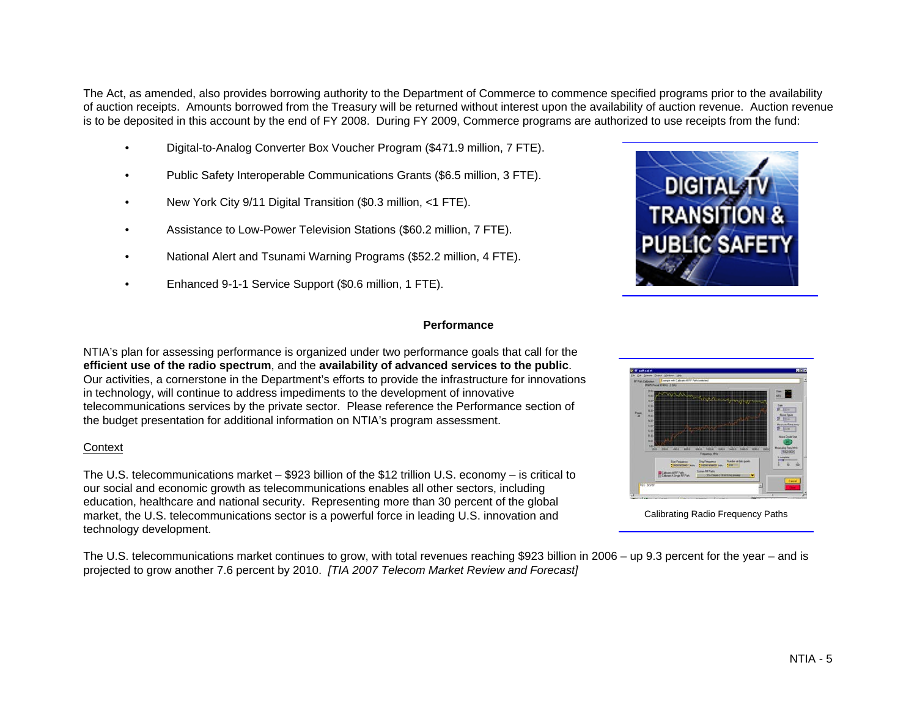The Act, as amended, also provides borrowing authority to the Department of Commerce to commence specified programs prior to the availability of auction receipts. Amounts borrowed from the Treasury will be returned without interest upon the availability of auction revenue. Auction revenue is to be deposited in this account by the end of FY 2008. During FY 2009, Commerce programs are authorized to use receipts from the fund:

- •Digital-to-Analog Converter Box Voucher Program (\$471.9 million, 7 FTE).
- •Public Safety Interoperable Communications Grants (\$6.5 million, 3 FTE).
- •New York City 9/11 Digital Transition (\$0.3 million, <1 FTE).
- •Assistance to Low-Power Television Stations (\$60.2 million, 7 FTE).
- •National Alert and Tsunami Warning Programs (\$52.2 million, 4 FTE).
- •Enhanced 9-1-1 Service Support (\$0.6 million, 1 FTE).

### **Performance**

NTIA's plan for assessing performance is organized under two performance goals that call for the **efficient use of the radio spectrum**, and the **availability of advanced services to the public**. Our activities, a cornerstone in the Department's efforts to provide the infrastructure for innovations in technology, will continue to address impediments to the development of innovative telecommunications services by the private sector. Please reference the Performance section of the budget presentation for additional information on NTIA's program assessment.

### **Context**

The U.S. telecommunications market – \$923 billion of the \$12 trillion U.S. economy – is critical to our social and economic growth as telecommunications enables all other sectors, including education, healthcare and national security. Representing more than 30 percent of the global market, the U.S. telecommunications sector is a powerful force in leading U.S. innovation and technology development.

The U.S. telecommunications market continues to grow, with total revenues reaching \$923 billion in 2006 – up 9.3 percent for the year – and is projected to grow another 7.6 percent by 2010. *[TIA 2007 Telecom Market Review and Forecast]*



Calibrating Radio Frequency Paths

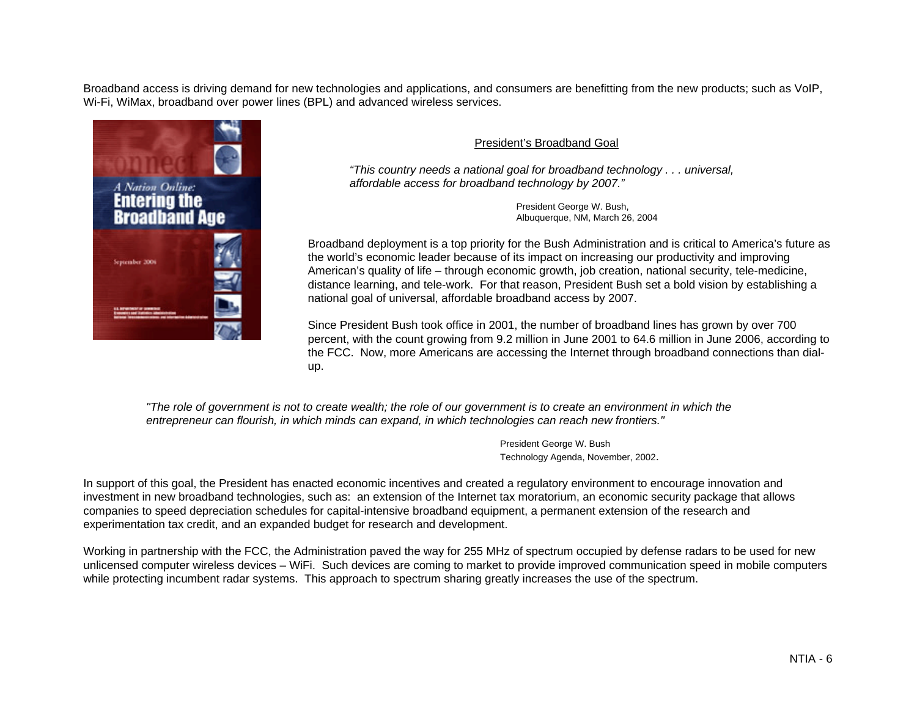Broadband access is driving demand for new technologies and applications, and consumers are benefitting from the new products; such as VoIP, Wi-Fi, WiMax, broadband over power lines (BPL) and advanced wireless services.



## President's Broadband Goal

*"This country needs a national goal for broadband technology . . . universal, affordable access for broadband technology by 2007."* 

> President George W. Bush, Albuquerque, NM, March 26, 2004

Broadband deployment is a top priority for the Bush Administration and is critical to America's future as the world's economic leader because of its impact on increasing our productivity and improving American's quality of life – through economic growth, job creation, national security, tele-medicine, distance learning, and tele-work. For that reason, President Bush set a bold vision by establishing a national goal of universal, affordable broadband access by 2007.

Since President Bush took office in 2001, the number of broadband lines has grown by over 700 percent, with the count growing from 9.2 million in June 2001 to 64.6 million in June 2006, according to the FCC. Now, more Americans are accessing the Internet through broadband connections than dialup.

*"The role of government is not to create wealth; the role of our government is to create an environment in which the entrepreneur can flourish, in which minds can expand, in which technologies can reach new frontiers."* 

> President George W. Bush Technology Agenda, November, 2002.

In support of this goal, the President has enacted economic incentives and created a regulatory environment to encourage innovation and investment in new broadband technologies, such as: an extension of the Internet tax moratorium, an economic security package that allows companies to speed depreciation schedules for capital-intensive broadband equipment, a permanent extension of the research and experimentation tax credit, and an expanded budget for research and development.

Working in partnership with the FCC, the Administration paved the way for 255 MHz of spectrum occupied by defense radars to be used for new unlicensed computer wireless devices – WiFi. Such devices are coming to market to provide improved communication speed in mobile computers while protecting incumbent radar systems. This approach to spectrum sharing greatly increases the use of the spectrum.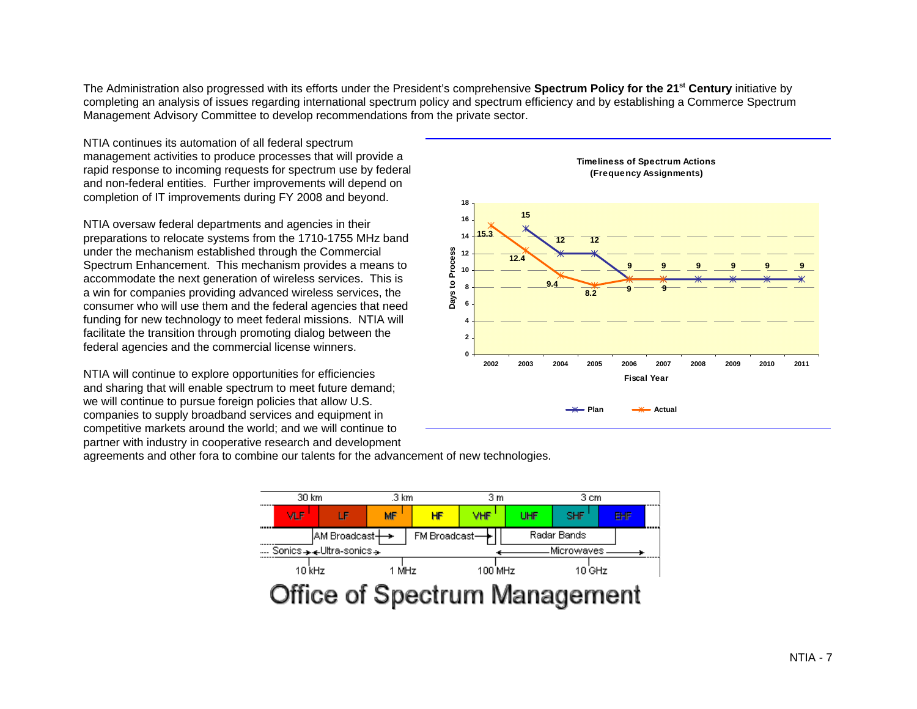The Administration also progressed with its efforts under the President's comprehensive **Spectrum Policy for the 21st Century** initiative by completing an analysis of issues regarding international spectrum policy and spectrum efficiency and by establishing a Commerce Spectrum Management Advisory Committee to develop recommendations from the private sector.

NTIA continues its automation of all federal spectrum management activities to produce processes that will provide a rapid response to incoming requests for spectrum use by federal and non-federal entities. Further improvements will depend on completion of IT improvements during FY 2008 and beyond.

NTIA oversaw federal departments and agencies in their preparations to relocate systems from the 1710-1755 MHz band under the mechanism established through the Commercial Spectrum Enhancement. This mechanism provides a means to accommodate the next generation of wireless services. This is a win for companies providing advanced wireless services, the consumer who will use them and the federal agencies that need funding for new technology to meet federal missions. NTIA will facilitate the transition through promoting dialog between the federal agencies and the commercial license winners.

NTIA will continue to explore opportunities for efficiencies and sharing that will enable spectrum to meet future demand; we will continue to pursue foreign policies that allow U.S. companies to supply broadband services and equipment in competitive markets around the world; and we will continue to partner with industry in cooperative research and development



agreements and other fora to combine our talents for the advancement of new technologies.

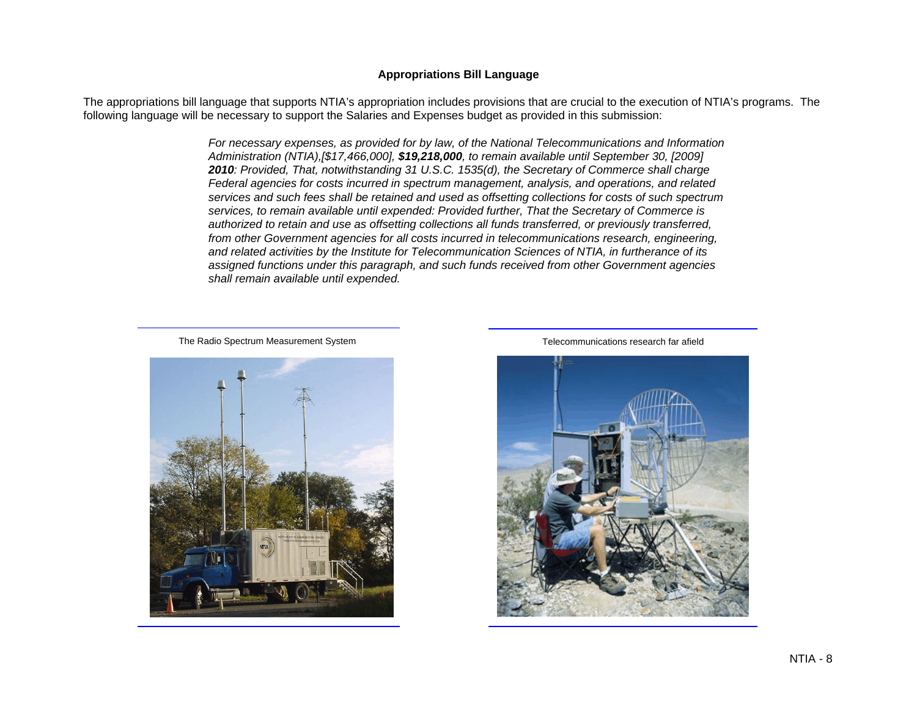#### **Appropriations Bill Language**

The appropriations bill language that supports NTIA's appropriation includes provisions that are crucial to the execution of NTIA's programs. The following language will be necessary to support the Salaries and Expenses budget as provided in this submission:

> *For necessary expenses, as provided for by law, of the National Telecommunications and Information Administration (NTIA),[\$17,466,000], \$19,218,000, to remain available until September 30, [2009] 2010: Provided, That, notwithstanding 31 U.S.C. 1535(d), the Secretary of Commerce shall charge Federal agencies for costs incurred in spectrum management, analysis, and operations, and related services and such fees shall be retained and used as offsetting collections for costs of such spectrum services, to remain available until expended: Provided further, That the Secretary of Commerce is authorized to retain and use as offsetting collections all funds transferred, or previously transferred, from other Government agencies for all costs incurred in telecommunications research, engineering, and related activities by the Institute for Telecommunication Sciences of NTIA, in furtherance of its assigned functions under this paragraph, and such funds received from other Government agencies shall remain available until expended.*

The Radio Spectrum Measurement System Telecommunications research far afield



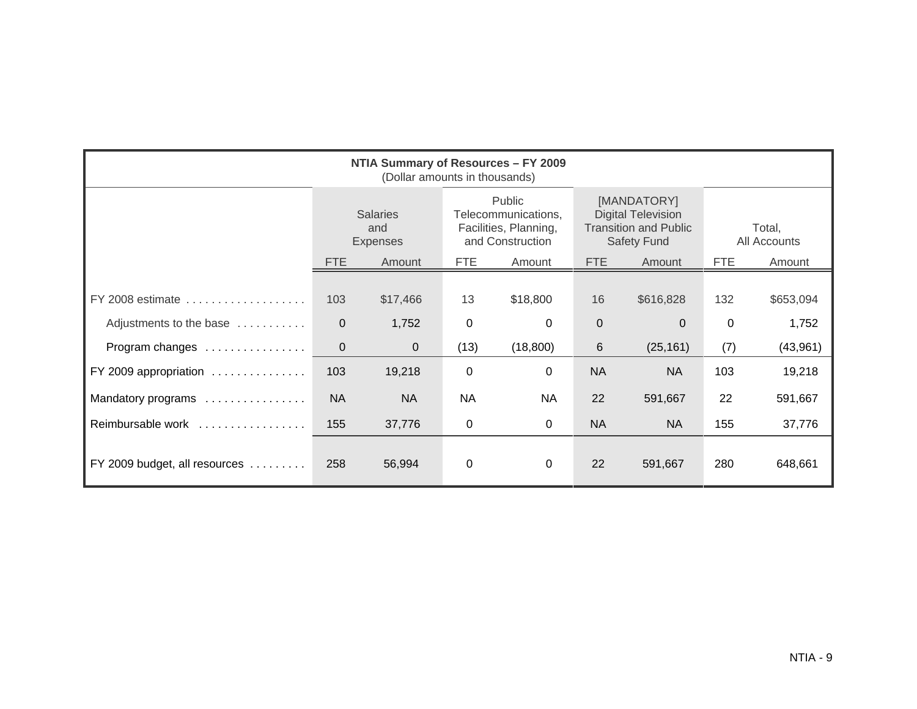| NTIA Summary of Resources - FY 2009<br>(Dollar amounts in thousands) |                                           |           |                                                                            |             |                                                                                                |           |                        |           |
|----------------------------------------------------------------------|-------------------------------------------|-----------|----------------------------------------------------------------------------|-------------|------------------------------------------------------------------------------------------------|-----------|------------------------|-----------|
|                                                                      | <b>Salaries</b><br>and<br><b>Expenses</b> |           | Public<br>Telecommunications,<br>Facilities, Planning,<br>and Construction |             | [MANDATORY]<br><b>Digital Television</b><br><b>Transition and Public</b><br><b>Safety Fund</b> |           | Total,<br>All Accounts |           |
|                                                                      | <b>FTE</b>                                | Amount    | <b>FTE</b>                                                                 | Amount      | <b>FTE</b>                                                                                     | Amount    | <b>FTE</b>             | Amount    |
| FY 2008 estimate                                                     | 103                                       | \$17,466  | 13                                                                         | \$18,800    | 16                                                                                             | \$616,828 | 132                    | \$653,094 |
| Adjustments to the base                                              | $\overline{0}$                            | 1,752     | 0                                                                          | 0           | $\mathbf 0$                                                                                    | $\Omega$  | 0                      | 1,752     |
| Program changes                                                      | $\overline{0}$                            | 0         | (13)                                                                       | (18, 800)   | $6\phantom{1}6$                                                                                | (25, 161) | (7)                    | (43,961)  |
| FY 2009 appropriation                                                | 103                                       | 19,218    | 0                                                                          | 0           | <b>NA</b>                                                                                      | <b>NA</b> | 103                    | 19,218    |
| Mandatory programs                                                   | <b>NA</b>                                 | <b>NA</b> | <b>NA</b>                                                                  | <b>NA</b>   | 22                                                                                             | 591,667   | 22                     | 591,667   |
| Reimbursable work                                                    | 155                                       | 37,776    | 0                                                                          | $\mathbf 0$ | <b>NA</b>                                                                                      | <b>NA</b> | 155                    | 37,776    |
| FY 2009 budget, all resources                                        | 258                                       | 56,994    | 0                                                                          | 0           | 22                                                                                             | 591,667   | 280                    | 648,661   |